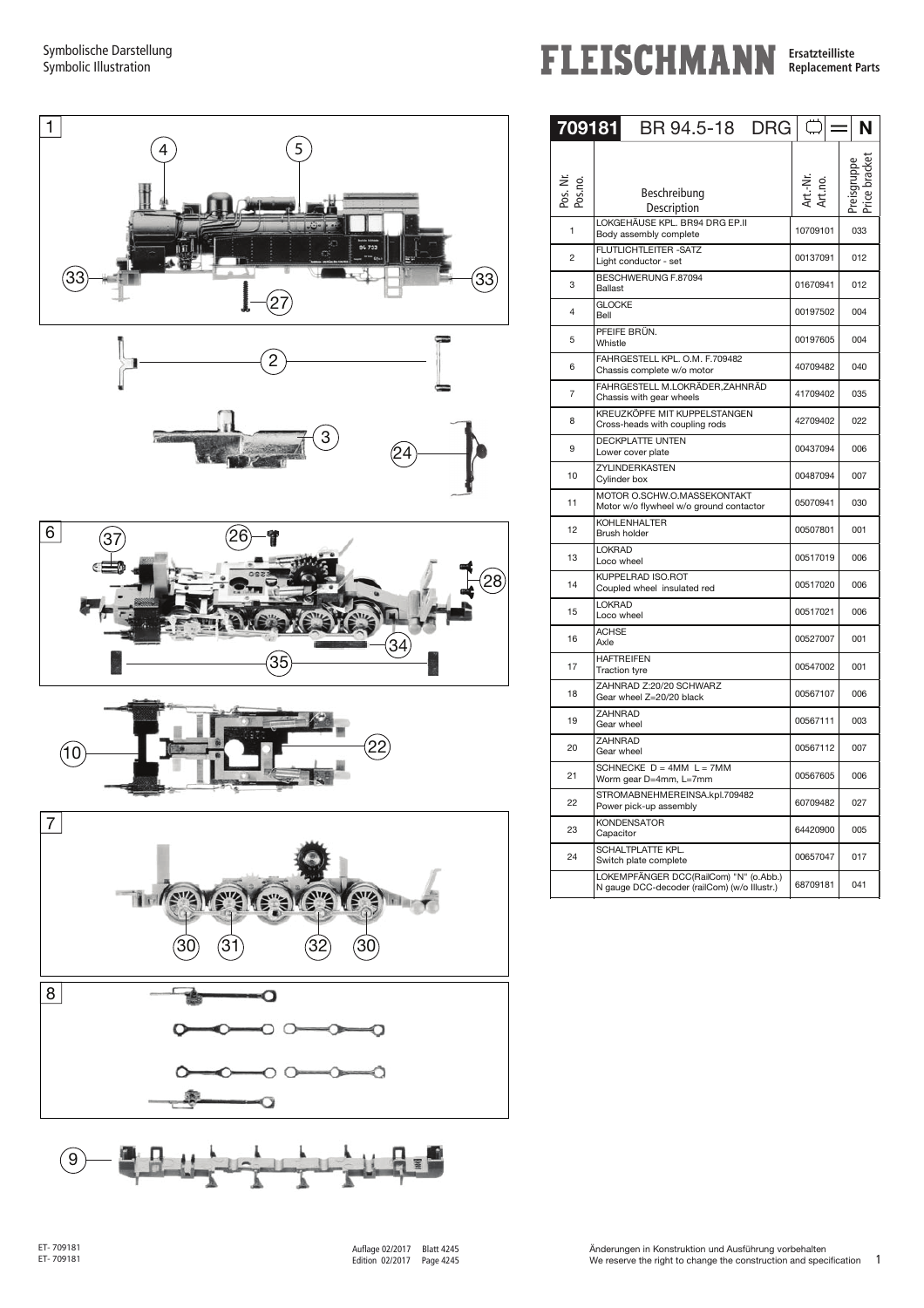Symbolische Darstellung Symbolic Illustration









**FLEISCHMANN Ersatzteilliste** 

| <b>Ersatzteilliste</b>   |  |  |
|--------------------------|--|--|
| <b>Replacement Parts</b> |  |  |
|                          |  |  |

| 709181              | BR 94.5-18<br><b>DRG</b>                                                               |                     | N   |
|---------------------|----------------------------------------------------------------------------------------|---------------------|-----|
| Pos. Nr.<br>Pos.no. | Beschreibung<br>Description                                                            | \rt.-Nr.<br>vrt.no. |     |
| 1                   | LOKGEHÄUSE KPL. BR94 DRG EP.II<br>Body assembly complete                               | 10709101            | 033 |
| 2                   | FLUTLICHTLEITER - SATZ<br>Light conductor - set                                        | 00137091            | 012 |
| 3                   | BESCHWERUNG F.87094<br>Ballast                                                         | 01670941            | 012 |
| 4                   | <b>GLOCKE</b><br>Bell                                                                  | 00197502            | 004 |
| 5                   | PFEIFE BRÜN.<br>Whistle                                                                | 00197605            | 004 |
| 6                   | FAHRGESTELL KPL. O.M. F.709482<br>Chassis complete w/o motor                           | 40709482            | 040 |
| $\overline{7}$      | FAHRGESTELL M.LOKRÄDER, ZAHNRÄD<br>Chassis with gear wheels                            | 41709402            | 035 |
| 8                   | KREUZKÖPFE MIT KUPPELSTANGEN<br>Cross-heads with coupling rods                         | 42709402            | 022 |
| 9                   | <b>DECKPLATTE UNTEN</b><br>Lower cover plate                                           | 00437094            | 006 |
| 10                  | ZYLINDERKASTEN<br>Cylinder box                                                         | 00487094            | 007 |
| 11                  | MOTOR O.SCHW.O.MASSEKONTAKT<br>Motor w/o flywheel w/o ground contactor                 | 05070941            | 030 |
| 12                  | <b>KOHLENHALTER</b><br><b>Brush holder</b>                                             | 00507801            | 001 |
| 13                  | <b>LOKRAD</b><br>Loco wheel                                                            | 00517019            | 006 |
| 14                  | KUPPELRAD ISO.ROT<br>Coupled wheel insulated red                                       | 00517020            | 006 |
| 15                  | <b>LOKRAD</b><br>Loco wheel                                                            | 00517021            | 006 |
| 16                  | <b>ACHSE</b><br>Axle                                                                   | 00527007            | 001 |
| 17                  | <b>HAFTREIFEN</b><br><b>Traction tyre</b>                                              | 00547002            | 001 |
| 18                  | ZAHNRAD Z:20/20 SCHWARZ<br>Gear wheel Z=20/20 black                                    | 00567107            | 006 |
| 19                  | ZAHNRAD<br>Gear wheel                                                                  | 00567111            | 003 |
| 20                  | <b>ZAHNRAD</b><br>Gear wheel                                                           | 00567112            | 007 |
| 21                  | SCHNECKE $D = 4MM$ $L = 7MM$<br>Worm gear D=4mm, L=7mm                                 | 00567605            | 006 |
| 22                  | STROMABNEHMEREINSA.kpl.709482<br>Power pick-up assembly                                | 60709482            | 027 |
| 23                  | <b>KONDENSATOR</b><br>Capacitor                                                        | 64420900            | 005 |
| 24                  | SCHALTPLATTE KPL.<br>Switch plate complete                                             | 00657047            | 017 |
|                     | LOKEMPFÄNGER DCC(RailCom) "N" (o.Abb.)<br>N gauge DCC-decoder (railCom) (w/o Illustr.) | 68709181            | 041 |